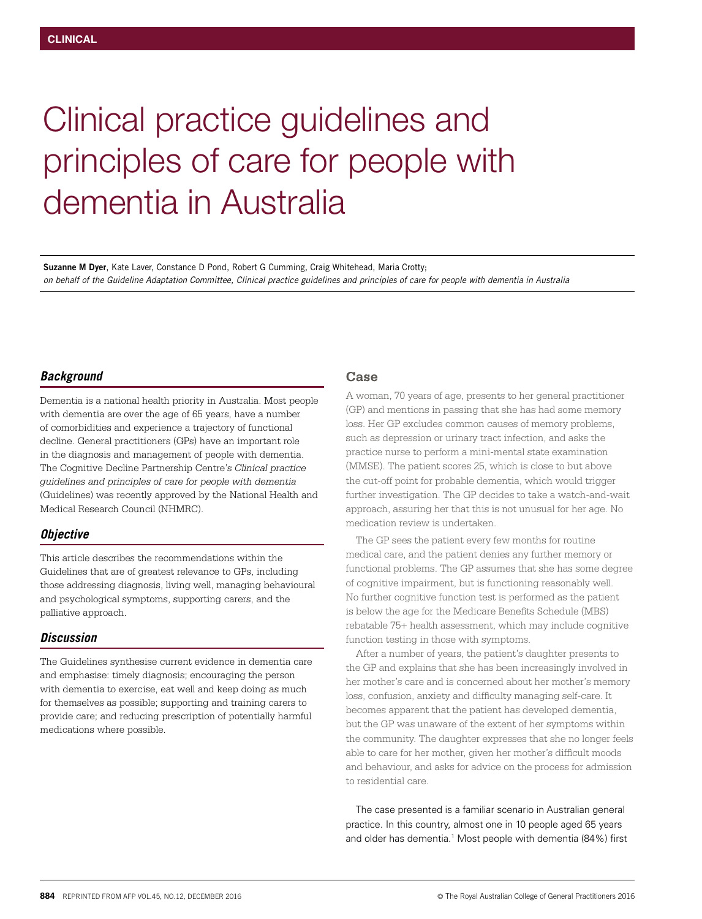# Clinical practice guidelines and principles of care for people with dementia in Australia

**Suzanne M Dyer**, Kate Laver, Constance D Pond, Robert G Cumming, Craig Whitehead, Maria Crotty; *on behalf of the Guideline Adaptation Committee, Clinical practice guidelines and principles of care for people with dementia in Australia*

#### *Background*

Dementia is a national health priority in Australia. Most people with dementia are over the age of 65 years, have a number of comorbidities and experience a trajectory of functional decline. General practitioners (GPs) have an important role in the diagnosis and management of people with dementia. The Cognitive Decline Partnership Centre's *Clinical practice guidelines and principles of care for people with dementia* (Guidelines) was recently approved by the National Health and Medical Research Council (NHMRC).

#### *Objective*

This article describes the recommendations within the Guidelines that are of greatest relevance to GPs, including those addressing diagnosis, living well, managing behavioural and psychological symptoms, supporting carers, and the palliative approach.

### *Discussion*

The Guidelines synthesise current evidence in dementia care and emphasise: timely diagnosis; encouraging the person with dementia to exercise, eat well and keep doing as much for themselves as possible; supporting and training carers to provide care; and reducing prescription of potentially harmful medications where possible.

#### **Case**

A woman, 70 years of age, presents to her general practitioner (GP) and mentions in passing that she has had some memory loss. Her GP excludes common causes of memory problems, such as depression or urinary tract infection, and asks the practice nurse to perform a mini-mental state examination (MMSE). The patient scores 25, which is close to but above the cut-off point for probable dementia, which would trigger further investigation. The GP decides to take a watch-and-wait approach, assuring her that this is not unusual for her age. No medication review is undertaken.

The GP sees the patient every few months for routine medical care, and the patient denies any further memory or functional problems. The GP assumes that she has some degree of cognitive impairment, but is functioning reasonably well. No further cognitive function test is performed as the patient is below the age for the Medicare Benefits Schedule (MBS) rebatable 75+ health assessment, which may include cognitive function testing in those with symptoms.

After a number of years, the patient's daughter presents to the GP and explains that she has been increasingly involved in her mother's care and is concerned about her mother's memory loss, confusion, anxiety and difficulty managing self-care. It becomes apparent that the patient has developed dementia, but the GP was unaware of the extent of her symptoms within the community. The daughter expresses that she no longer feels able to care for her mother, given her mother's difficult moods and behaviour, and asks for advice on the process for admission to residential care.

The case presented is a familiar scenario in Australian general practice. In this country, almost one in 10 people aged 65 years and older has dementia.<sup>1</sup> Most people with dementia (84%) first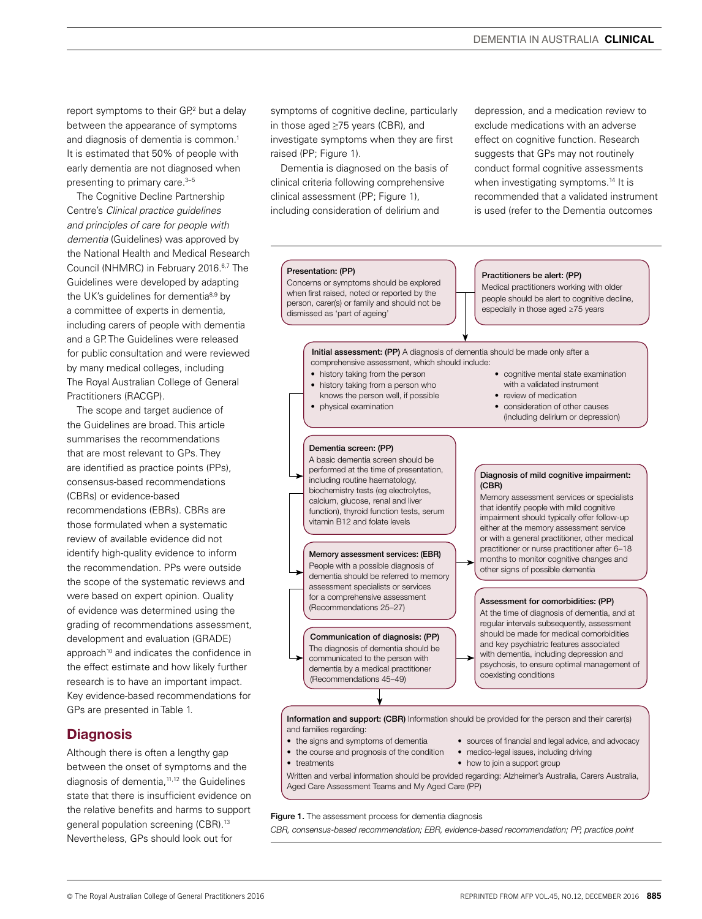report symptoms to their GP,<sup>2</sup> but a delay between the appearance of symptoms and diagnosis of dementia is common.<sup>1</sup> It is estimated that 50% of people with early dementia are not diagnosed when presenting to primary care.<sup>3-5</sup>

The Cognitive Decline Partnership Centre's *Clinical practice guidelines and principles of care for people with dementia* (Guidelines) was approved by the National Health and Medical Research Council (NHMRC) in February 2016.6,7 The Guidelines were developed by adapting the UK's quidelines for dementia<sup>8,9</sup> by a committee of experts in dementia, including carers of people with dementia and a GP. The Guidelines were released for public consultation and were reviewed by many medical colleges, including The Royal Australian College of General Practitioners (RACGP).

The scope and target audience of the Guidelines are broad. This article summarises the recommendations that are most relevant to GPs. They are identified as practice points (PPs), consensus-based recommendations (CBRs) or evidence-based recommendations (EBRs). CBRs are those formulated when a systematic review of available evidence did not identify high-quality evidence to inform the recommendation. PPs were outside the scope of the systematic reviews and were based on expert opinion. Quality of evidence was determined using the grading of recommendations assessment, development and evaluation (GRADE) approach<sup>10</sup> and indicates the confidence in the effect estimate and how likely further research is to have an important impact. Key evidence-based recommendations for GPs are presented in Table 1.

# **Diagnosis**

Although there is often a lengthy gap between the onset of symptoms and the diagnosis of dementia,11,12 the Guidelines state that there is insufficient evidence on the relative benefits and harms to support general population screening (CBR).<sup>13</sup> Nevertheless, GPs should look out for

symptoms of cognitive decline, particularly in those aged ≥75 years (CBR), and investigate symptoms when they are first raised (PP; Figure 1).

Dementia is diagnosed on the basis of clinical criteria following comprehensive clinical assessment (PP; Figure 1), including consideration of delirium and

depression, and a medication review to exclude medications with an adverse effect on cognitive function. Research suggests that GPs may not routinely conduct formal cognitive assessments when investigating symptoms.<sup>14</sup> It is recommended that a validated instrument is used (refer to the Dementia outcomes



#### Figure 1. The assessment process for dementia diagnosis

*CBR, consensus-based recommendation; EBR, evidence-based recommendation; PP, practice point*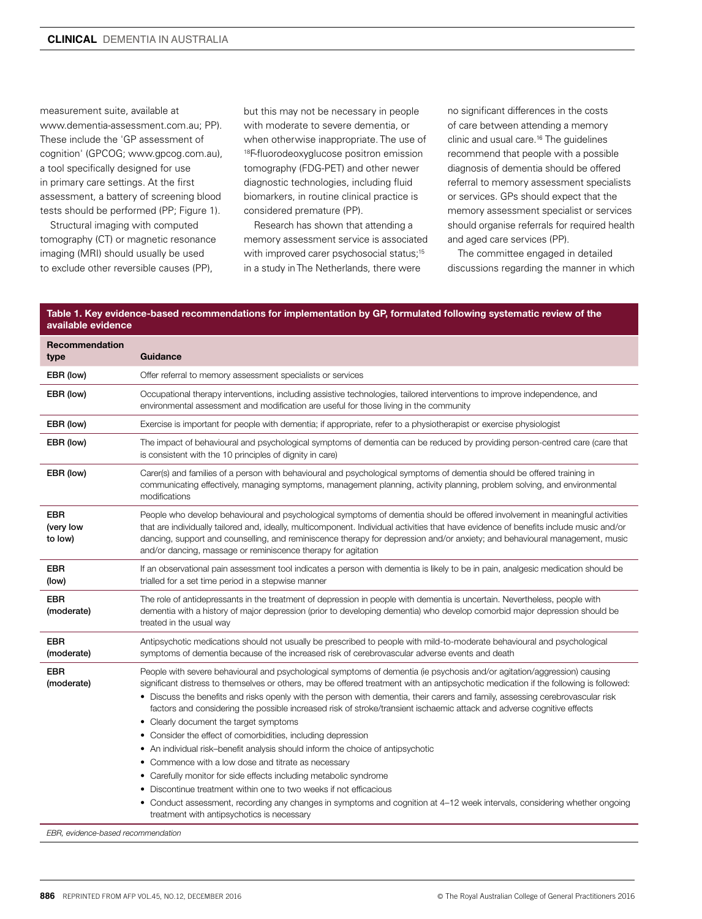measurement suite, available at www.dementia-assessment.com.au; PP). These include the 'GP assessment of cognition' (GPCOG; www.gpcog.com.au), a tool specifically designed for use in primary care settings. At the first assessment, a battery of screening blood tests should be performed (PP; Figure 1).

Structural imaging with computed tomography (CT) or magnetic resonance imaging (MRI) should usually be used to exclude other reversible causes (PP),

but this may not be necessary in people with moderate to severe dementia, or when otherwise inappropriate. The use of 18F-fluorodeoxyglucose positron emission tomography (FDG-PET) and other newer diagnostic technologies, including fluid biomarkers, in routine clinical practice is considered premature (PP).

Research has shown that attending a memory assessment service is associated with improved carer psychosocial status;<sup>15</sup> in a study in The Netherlands, there were

no significant differences in the costs of care between attending a memory clinic and usual care.16 The guidelines recommend that people with a possible diagnosis of dementia should be offered referral to memory assessment specialists or services. GPs should expect that the memory assessment specialist or services should organise referrals for required health and aged care services (PP).

The committee engaged in detailed discussions regarding the manner in which

#### Table 1. Key evidence-based recommendations for implementation by GP, formulated following systematic review of the available evidence

| <b>Recommendation</b><br>type      | Guidance                                                                                                                                                                                                                                                                                                                                                                                                                                                                                                                                                                                                                                                                                                                                                                                                                                                                                                                                                                                                                                                                                                |
|------------------------------------|---------------------------------------------------------------------------------------------------------------------------------------------------------------------------------------------------------------------------------------------------------------------------------------------------------------------------------------------------------------------------------------------------------------------------------------------------------------------------------------------------------------------------------------------------------------------------------------------------------------------------------------------------------------------------------------------------------------------------------------------------------------------------------------------------------------------------------------------------------------------------------------------------------------------------------------------------------------------------------------------------------------------------------------------------------------------------------------------------------|
| EBR (low)                          | Offer referral to memory assessment specialists or services                                                                                                                                                                                                                                                                                                                                                                                                                                                                                                                                                                                                                                                                                                                                                                                                                                                                                                                                                                                                                                             |
| EBR (low)                          | Occupational therapy interventions, including assistive technologies, tailored interventions to improve independence, and<br>environmental assessment and modification are useful for those living in the community                                                                                                                                                                                                                                                                                                                                                                                                                                                                                                                                                                                                                                                                                                                                                                                                                                                                                     |
| EBR (low)                          | Exercise is important for people with dementia; if appropriate, refer to a physiotherapist or exercise physiologist                                                                                                                                                                                                                                                                                                                                                                                                                                                                                                                                                                                                                                                                                                                                                                                                                                                                                                                                                                                     |
| EBR (low)                          | The impact of behavioural and psychological symptoms of dementia can be reduced by providing person-centred care (care that<br>is consistent with the 10 principles of dignity in care)                                                                                                                                                                                                                                                                                                                                                                                                                                                                                                                                                                                                                                                                                                                                                                                                                                                                                                                 |
| EBR (low)                          | Carer(s) and families of a person with behavioural and psychological symptoms of dementia should be offered training in<br>communicating effectively, managing symptoms, management planning, activity planning, problem solving, and environmental<br>modifications                                                                                                                                                                                                                                                                                                                                                                                                                                                                                                                                                                                                                                                                                                                                                                                                                                    |
| <b>EBR</b><br>(very low<br>to low) | People who develop behavioural and psychological symptoms of dementia should be offered involvement in meaningful activities<br>that are individually tailored and, ideally, multicomponent. Individual activities that have evidence of benefits include music and/or<br>dancing, support and counselling, and reminiscence therapy for depression and/or anxiety; and behavioural management, music<br>and/or dancing, massage or reminiscence therapy for agitation                                                                                                                                                                                                                                                                                                                                                                                                                                                                                                                                                                                                                                  |
| <b>EBR</b><br>(low)                | If an observational pain assessment tool indicates a person with dementia is likely to be in pain, analgesic medication should be<br>trialled for a set time period in a stepwise manner                                                                                                                                                                                                                                                                                                                                                                                                                                                                                                                                                                                                                                                                                                                                                                                                                                                                                                                |
| <b>EBR</b><br>(moderate)           | The role of antidepressants in the treatment of depression in people with dementia is uncertain. Nevertheless, people with<br>dementia with a history of major depression (prior to developing dementia) who develop comorbid major depression should be<br>treated in the usual way                                                                                                                                                                                                                                                                                                                                                                                                                                                                                                                                                                                                                                                                                                                                                                                                                    |
| <b>EBR</b><br>(moderate)           | Antipsychotic medications should not usually be prescribed to people with mild-to-moderate behavioural and psychological<br>symptoms of dementia because of the increased risk of cerebrovascular adverse events and death                                                                                                                                                                                                                                                                                                                                                                                                                                                                                                                                                                                                                                                                                                                                                                                                                                                                              |
| <b>EBR</b><br>(moderate)           | People with severe behavioural and psychological symptoms of dementia (ie psychosis and/or agitation/aggression) causing<br>significant distress to themselves or others, may be offered treatment with an antipsychotic medication if the following is followed:<br>• Discuss the benefits and risks openly with the person with dementia, their carers and family, assessing cerebrovascular risk<br>factors and considering the possible increased risk of stroke/transient ischaemic attack and adverse cognitive effects<br>• Clearly document the target symptoms<br>• Consider the effect of comorbidities, including depression<br>• An individual risk-benefit analysis should inform the choice of antipsychotic<br>• Commence with a low dose and titrate as necessary<br>• Carefully monitor for side effects including metabolic syndrome<br>• Discontinue treatment within one to two weeks if not efficacious<br>• Conduct assessment, recording any changes in symptoms and cognition at 4-12 week intervals, considering whether ongoing<br>treatment with antipsychotics is necessary |

*EBR, evidence-based recommendation*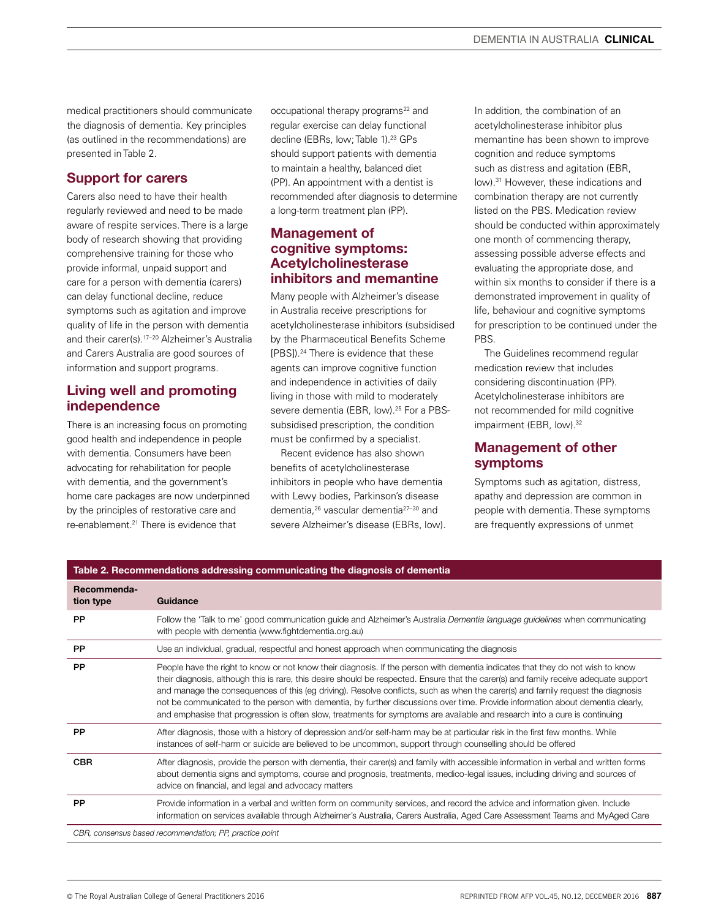medical practitioners should communicate the diagnosis of dementia. Key principles (as outlined in the recommendations) are presented in Table 2.

## Support for carers

Carers also need to have their health regularly reviewed and need to be made aware of respite services. There is a large body of research showing that providing comprehensive training for those who provide informal, unpaid support and care for a person with dementia (carers) can delay functional decline, reduce symptoms such as agitation and improve quality of life in the person with dementia and their carer(s).17–20 Alzheimer's Australia and Carers Australia are good sources of information and support programs.

## Living well and promoting independence

There is an increasing focus on promoting good health and independence in people with dementia. Consumers have been advocating for rehabilitation for people with dementia, and the government's home care packages are now underpinned by the principles of restorative care and re-enablement<sup>21</sup> There is evidence that

occupational therapy programs<sup>22</sup> and regular exercise can delay functional decline (EBRs, low; Table 1).<sup>23</sup> GPs should support patients with dementia to maintain a healthy, balanced diet (PP). An appointment with a dentist is recommended after diagnosis to determine a long-term treatment plan (PP).

## Management of cognitive symptoms: Acetylcholinesterase inhibitors and memantine

Many people with Alzheimer's disease in Australia receive prescriptions for acetylcholinesterase inhibitors (subsidised by the Pharmaceutical Benefits Scheme [PBS]).24 There is evidence that these agents can improve cognitive function and independence in activities of daily living in those with mild to moderately severe dementia (EBR, low).<sup>25</sup> For a PBSsubsidised prescription, the condition must be confirmed by a specialist.

Recent evidence has also shown benefits of acetylcholinesterase inhibitors in people who have dementia with Lewy bodies, Parkinson's disease dementia,<sup>26</sup> vascular dementia<sup>27-30</sup> and severe Alzheimer's disease (EBRs, low). In addition, the combination of an acetylcholinesterase inhibitor plus memantine has been shown to improve cognition and reduce symptoms such as distress and agitation (EBR, low).31 However, these indications and combination therapy are not currently listed on the PBS. Medication review should be conducted within approximately one month of commencing therapy, assessing possible adverse effects and evaluating the appropriate dose, and within six months to consider if there is a demonstrated improvement in quality of life, behaviour and cognitive symptoms for prescription to be continued under the PBS.

The Guidelines recommend regular medication review that includes considering discontinuation (PP). Acetylcholinesterase inhibitors are not recommended for mild cognitive impairment (EBR, low).<sup>32</sup>

# Management of other symptoms

Symptoms such as agitation, distress, apathy and depression are common in people with dementia. These symptoms are frequently expressions of unmet

| Table 2. Recommendations addressing communicating the diagnosis of dementia |                                                                                                                                                                                                                                                                                                                                                                                                                                                                                                                                                                                                                                                                            |  |
|-----------------------------------------------------------------------------|----------------------------------------------------------------------------------------------------------------------------------------------------------------------------------------------------------------------------------------------------------------------------------------------------------------------------------------------------------------------------------------------------------------------------------------------------------------------------------------------------------------------------------------------------------------------------------------------------------------------------------------------------------------------------|--|
| Recommenda-<br>tion type                                                    | Guidance                                                                                                                                                                                                                                                                                                                                                                                                                                                                                                                                                                                                                                                                   |  |
| <b>PP</b>                                                                   | Follow the 'Talk to me' good communication guide and Alzheimer's Australia Dementia language guidelines when communicating<br>with people with dementia (www.fightdementia.org.au)                                                                                                                                                                                                                                                                                                                                                                                                                                                                                         |  |
| PP                                                                          | Use an individual, gradual, respectful and honest approach when communicating the diagnosis                                                                                                                                                                                                                                                                                                                                                                                                                                                                                                                                                                                |  |
| <b>PP</b>                                                                   | People have the right to know or not know their diagnosis. If the person with dementia indicates that they do not wish to know<br>their diagnosis, although this is rare, this desire should be respected. Ensure that the carer(s) and family receive adequate support<br>and manage the consequences of this (eg driving). Resolve conflicts, such as when the carer(s) and family request the diagnosis<br>not be communicated to the person with dementia, by further discussions over time. Provide information about dementia clearly,<br>and emphasise that progression is often slow, treatments for symptoms are available and research into a cure is continuing |  |
| <b>PP</b>                                                                   | After diagnosis, those with a history of depression and/or self-harm may be at particular risk in the first few months. While<br>instances of self-harm or suicide are believed to be uncommon, support through counselling should be offered                                                                                                                                                                                                                                                                                                                                                                                                                              |  |
| <b>CBR</b>                                                                  | After diagnosis, provide the person with dementia, their carer(s) and family with accessible information in verbal and written forms<br>about dementia signs and symptoms, course and prognosis, treatments, medico-legal issues, including driving and sources of<br>advice on financial, and legal and advocacy matters                                                                                                                                                                                                                                                                                                                                                  |  |
| <b>PP</b>                                                                   | Provide information in a verbal and written form on community services, and record the advice and information given. Include<br>information on services available through Alzheimer's Australia, Carers Australia, Aged Care Assessment Teams and MyAged Care                                                                                                                                                                                                                                                                                                                                                                                                              |  |
| CBR, consensus based recommendation; PP, practice point                     |                                                                                                                                                                                                                                                                                                                                                                                                                                                                                                                                                                                                                                                                            |  |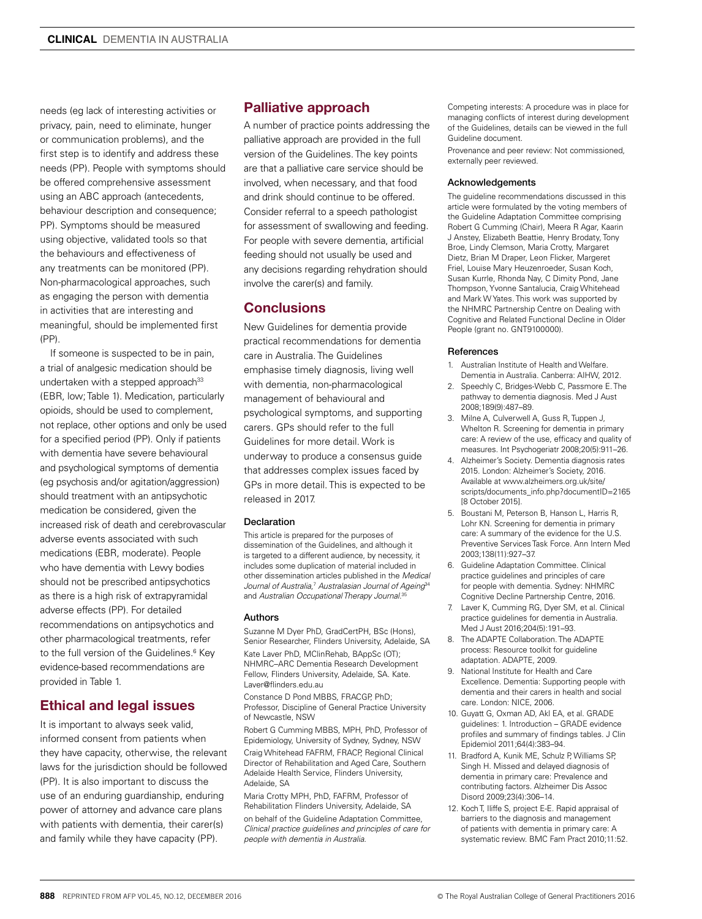needs (eg lack of interesting activities or privacy, pain, need to eliminate, hunger or communication problems), and the first step is to identify and address these needs (PP). People with symptoms should be offered comprehensive assessment using an ABC approach (antecedents, behaviour description and consequence; PP). Symptoms should be measured using objective, validated tools so that the behaviours and effectiveness of any treatments can be monitored (PP). Non-pharmacological approaches, such as engaging the person with dementia in activities that are interesting and meaningful, should be implemented first (PP).

If someone is suspected to be in pain, a trial of analgesic medication should be undertaken with a stepped approach<sup>33</sup> (EBR, low; Table 1). Medication, particularly opioids, should be used to complement, not replace, other options and only be used for a specified period (PP). Only if patients with dementia have severe behavioural and psychological symptoms of dementia (eg psychosis and/or agitation/aggression) should treatment with an antipsychotic medication be considered, given the increased risk of death and cerebrovascular adverse events associated with such medications (EBR, moderate). People who have dementia with Lewy bodies should not be prescribed antipsychotics as there is a high risk of extrapyramidal adverse effects (PP). For detailed recommendations on antipsychotics and other pharmacological treatments, refer to the full version of the Guidelines.<sup>6</sup> Key evidence-based recommendations are provided in Table 1.

# Ethical and legal issues

It is important to always seek valid, informed consent from patients when they have capacity, otherwise, the relevant laws for the jurisdiction should be followed (PP). It is also important to discuss the use of an enduring guardianship, enduring power of attorney and advance care plans with patients with dementia, their carer(s) and family while they have capacity (PP).

## Palliative approach

A number of practice points addressing the palliative approach are provided in the full version of the Guidelines. The key points are that a palliative care service should be involved, when necessary, and that food and drink should continue to be offered. Consider referral to a speech pathologist for assessment of swallowing and feeding. For people with severe dementia, artificial feeding should not usually be used and any decisions regarding rehydration should involve the carer(s) and family.

## **Conclusions**

New Guidelines for dementia provide practical recommendations for dementia care in Australia. The Guidelines emphasise timely diagnosis, living well with dementia, non-pharmacological management of behavioural and psychological symptoms, and supporting carers. GPs should refer to the full Guidelines for more detail. Work is underway to produce a consensus guide that addresses complex issues faced by GPs in more detail. This is expected to be released in 2017.

#### Declaration

This article is prepared for the purposes of dissemination of the Guidelines, and although it is targeted to a different audience, by necessity, it includes some duplication of material included in other dissemination articles published in the *Medical Journal of Australia*, <sup>7</sup> *Australasian Journal of Ageing*<sup>34</sup> and *Australian Occupational Therapy Journal*. 35

#### Authors

Suzanne M Dyer PhD, GradCertPH, BSc (Hons), Senior Researcher, Flinders University, Adelaide, SA

Kate Laver PhD, MClinRehab, BAppSc (OT); NHMRC–ARC Dementia Research Development Fellow, Flinders University, Adelaide, SA. Kate. Laver@flinders.edu.au

Constance D Pond MBBS, FRACGP, PhD: Professor, Discipline of General Practice University of Newcastle, NSW

Robert G Cumming MBBS, MPH, PhD, Professor of Epidemiology, University of Sydney, Sydney, NSW Craig Whitehead FAFRM, FRACP, Regional Clinical Director of Rehabilitation and Aged Care, Southern Adelaide Health Service, Flinders University, Adelaide, SA

Maria Crotty MPH, PhD, FAFRM, Professor of Rehabilitation Flinders University, Adelaide, SA on behalf of the Guideline Adaptation Committee, *Clinical practice guidelines and principles of care for people with dementia in Australia*.

Competing interests: A procedure was in place for managing conflicts of interest during development of the Guidelines, details can be viewed in the full Guideline document.

Provenance and peer review: Not commissioned, externally peer reviewed.

#### Acknowledgements

The guideline recommendations discussed in this article were formulated by the voting members of the Guideline Adaptation Committee comprising Robert G Cumming (Chair), Meera R Agar, Kaarin J Anstey, Elizabeth Beattie, Henry Brodaty, Tony Broe, Lindy Clemson, Maria Crotty, Margaret Dietz, Brian M Draper, Leon Flicker, Margeret Friel, Louise Mary Heuzenroeder, Susan Koch, Susan Kurrle, Rhonda Nay, C Dimity Pond, Jane Thompson, Yvonne Santalucia, Craig Whitehead and Mark W Yates. This work was supported by the NHMRC Partnership Centre on Dealing with Cognitive and Related Functional Decline in Older People (grant no. GNT9100000).

#### References

- 1. Australian Institute of Health and Welfare. Dementia in Australia. Canberra: AIHW, 2012.
- 2. Speechly C, Bridges-Webb C, Passmore E. The pathway to dementia diagnosis. Med J Aust 2008;189(9):487–89.
- 3. Milne A, Culverwell A, Guss R, Tuppen J, Whelton R. Screening for dementia in primary care: A review of the use, efficacy and quality of measures. Int Psychogeriatr 2008;20(5):911–26.
- 4. Alzheimer's Society. Dementia diagnosis rates 2015. London: Alzheimer's Society, 2016. Available at www.alzheimers.org.uk/site/ scripts/documents\_info.php?documentID=2165 [8 October 2015].
- 5. Boustani M, Peterson B, Hanson L, Harris R, Lohr KN. Screening for dementia in primary care: A summary of the evidence for the U.S. Preventive Services Task Force. Ann Intern Med 2003;138(11):927–37.
- 6. Guideline Adaptation Committee. Clinical practice guidelines and principles of care for people with dementia. Sydney: NHMRC Cognitive Decline Partnership Centre, 2016.
- 7. Laver K, Cumming RG, Dyer SM, et al. Clinical practice guidelines for dementia in Australia. Med J Aust 2016;204(5):191–93.
- 8. The ADAPTE Collaboration. The ADAPTE process: Resource toolkit for guideline adaptation. ADAPTE, 2009.
- 9. National Institute for Health and Care Excellence. Dementia: Supporting people with dementia and their carers in health and social care. London: NICE, 2006.
- 10. Guyatt G, Oxman AD, Akl EA, et al. GRADE guidelines: 1. Introduction – GRADE evidence profiles and summary of findings tables. J Clin Epidemiol 2011;64(4):383–94.
- 11. Bradford A, Kunik ME, Schulz P, Williams SP, Singh H. Missed and delayed diagnosis of dementia in primary care: Prevalence and contributing factors. Alzheimer Dis Assoc Disord 2009;23(4):306–14.
- 12. Koch T, Iliffe S, project E-E. Rapid appraisal of barriers to the diagnosis and management of patients with dementia in primary care: A systematic review. BMC Fam Pract 2010;11:52.